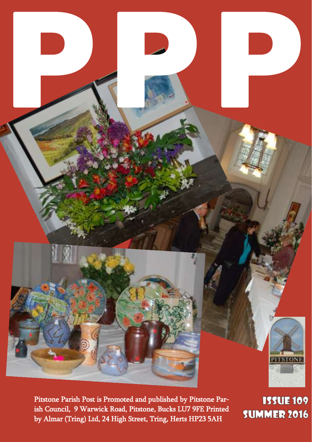Pitstone Parish Post is Promoted and published by Pitstone Parish Council, 9 Warwick Road, Pitstone, Bucks LU7 9FE Printed by Almar (Tring) Ltd, 24 High Street, Tring, Herts HP23 5AH

**PPP PPP** 

**ISSUE 109 SUMMER 2016**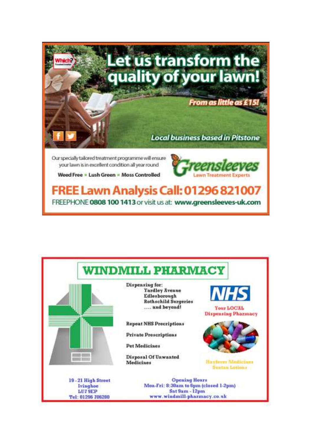

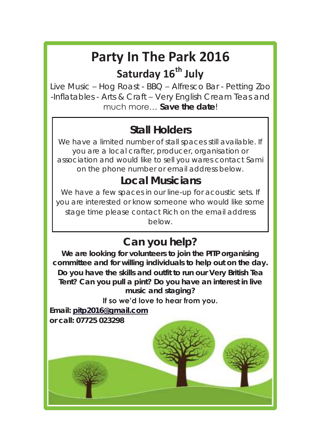## **Party In The Park 2016 Saturday 16th July**

Live Music – Hog Roast - BBQ – Alfresco Bar - Petting Zoo -Inflatables - Arts & Craft – Very English Cream Teas and much more… **Save the date**!

#### **Stall Holders**

We have a limited number of stall spaces still available. If you are a local crafter, producer, organisation or association and would like to sell you wares contact Sami on the phone number or email address below.

#### **Local Musicians**

We have a few spaces in our line-up for acoustic sets. If you are interested or know someone who would like some stage time please contact Rich on the email address below.

#### **Can you help?**

**We are looking for volunteers to join the PITP organising committee and for willing individuals to help out on the day. Do you have the skills and outfit to run our Very British Tea Tent? Can you pull a pint? Do you have an interest in live music and staging?** 

#### **If so we'd love to hear from you.**

**Email: [pitp2016@gmail.com](mailto:pitp2016@gmail.com) or call: 07725 023298**